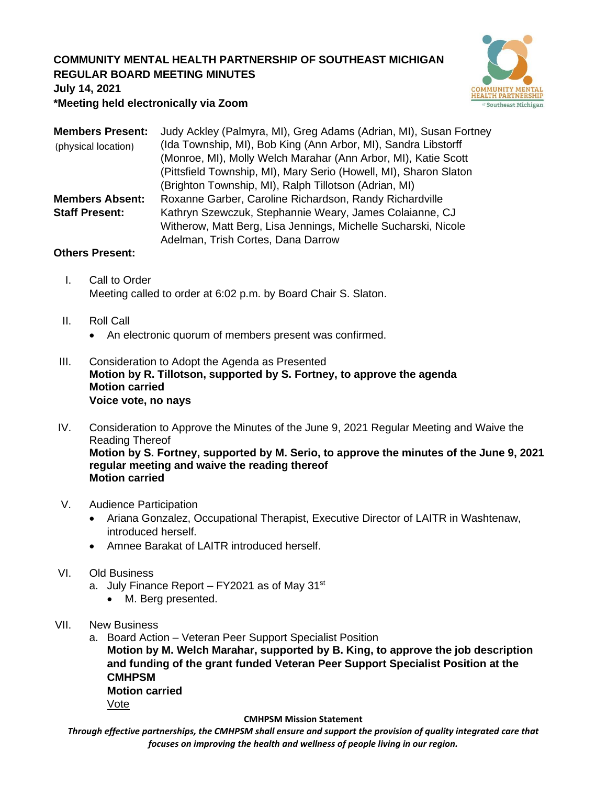## **COMMUNITY MENTAL HEALTH PARTNERSHIP OF SOUTHEAST MICHIGAN REGULAR BOARD MEETING MINUTES**



**July 14, 2021**

**\*Meeting held electronically via Zoom**

| <b>Members Present:</b> | Judy Ackley (Palmyra, MI), Greg Adams (Adrian, MI), Susan Fortney |
|-------------------------|-------------------------------------------------------------------|
| (physical location)     | (Ida Township, MI), Bob King (Ann Arbor, MI), Sandra Libstorff    |
|                         | (Monroe, MI), Molly Welch Marahar (Ann Arbor, MI), Katie Scott    |
|                         | (Pittsfield Township, MI), Mary Serio (Howell, MI), Sharon Slaton |
|                         | (Brighton Township, MI), Ralph Tillotson (Adrian, MI)             |
| <b>Members Absent:</b>  | Roxanne Garber, Caroline Richardson, Randy Richardville           |
| <b>Staff Present:</b>   | Kathryn Szewczuk, Stephannie Weary, James Colaianne, CJ           |
|                         | Witherow, Matt Berg, Lisa Jennings, Michelle Sucharski, Nicole    |
|                         | Adelman, Trish Cortes, Dana Darrow                                |

## **Others Present:**

- I. Call to Order Meeting called to order at 6:02 p.m. by Board Chair S. Slaton.
- II. Roll Call
	- An electronic quorum of members present was confirmed.
- III. Consideration to Adopt the Agenda as Presented **Motion by R. Tillotson, supported by S. Fortney, to approve the agenda Motion carried Voice vote, no nays**
- IV. Consideration to Approve the Minutes of the June 9, 2021 Regular Meeting and Waive the Reading Thereof **Motion by S. Fortney, supported by M. Serio, to approve the minutes of the June 9, 2021 regular meeting and waive the reading thereof Motion carried**
- V. Audience Participation
	- Ariana Gonzalez, Occupational Therapist, Executive Director of LAITR in Washtenaw, introduced herself.
	- Amnee Barakat of LAITR introduced herself.
- VI. Old Business
	- a. July Finance Report FY2021 as of May 31 $st$ 
		- M. Berg presented.
- VII. New Business
	- a. Board Action Veteran Peer Support Specialist Position

**Motion by M. Welch Marahar, supported by B. King, to approve the job description and funding of the grant funded Veteran Peer Support Specialist Position at the CMHPSM Motion carried**

Vote

## **CMHPSM Mission Statement**

*Through effective partnerships, the CMHPSM shall ensure and support the provision of quality integrated care that focuses on improving the health and wellness of people living in our region.*